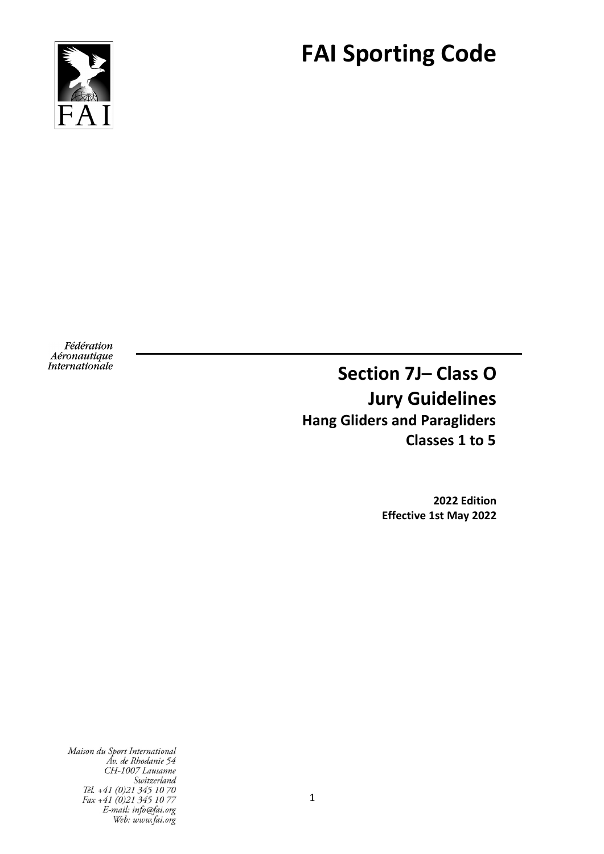

# **FAI Sporting Code**

Fédération Aéronautique Internationale

**Section 7J– Class O Jury Guidelines Hang Gliders and Paragliders Classes 1 to 5**

> **2022 Edition Effective 1st May 2022**

Maison du Sport International Av. de Rhodanie 54 CH-1007 Lausanne Switzerland<br>Tél. +41 (0)21 345 10 70 Fax +41 (0)21 345 10 77 E-mail: info@fai.org Web: www.fai.org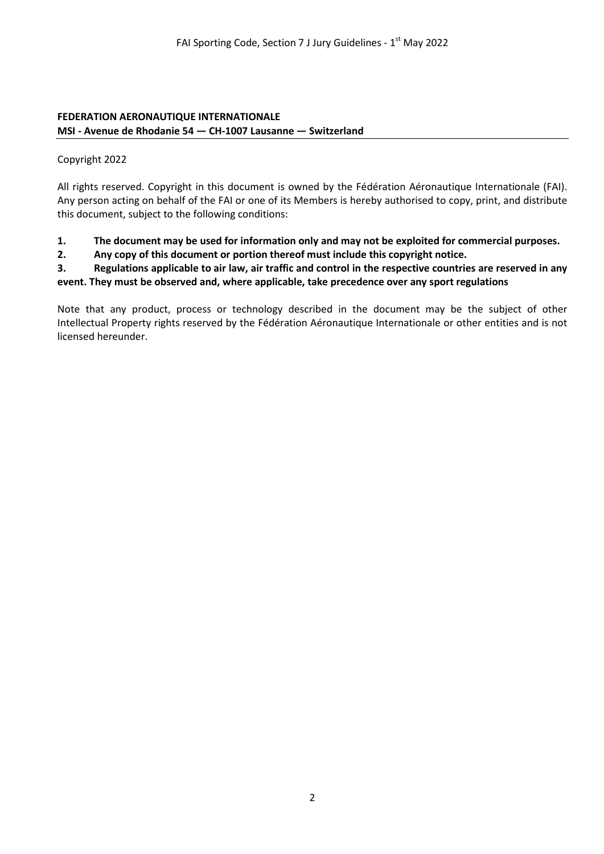#### **FEDERATION AERONAUTIQUE INTERNATIONALE MSI - Avenue de Rhodanie 54 — CH-1007 Lausanne — Switzerland**

### Copyright 2022

All rights reserved. Copyright in this document is owned by the Fédération Aéronautique Internationale (FAI). Any person acting on behalf of the FAI or one of its Members is hereby authorised to copy, print, and distribute this document, subject to the following conditions:

- **1. The document may be used for information only and may not be exploited for commercial purposes.**
- **2. Any copy of this document or portion thereof must include this copyright notice.**

**3. Regulations applicable to air law, air traffic and control in the respective countries are reserved in any event. They must be observed and, where applicable, take precedence over any sport regulations**

Note that any product, process or technology described in the document may be the subject of other Intellectual Property rights reserved by the Fédération Aéronautique Internationale or other entities and is not licensed hereunder.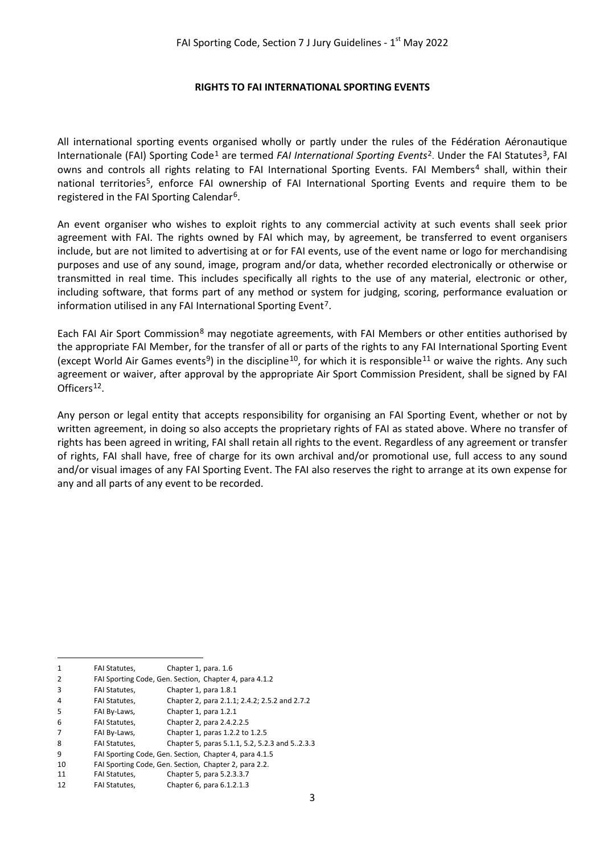#### **RIGHTS TO FAI INTERNATIONAL SPORTING EVENTS**

All international sporting events organised wholly or partly under the rules of the Fédération Aéronautique Internationale (FAI) Sporting Code[1](#page-2-0) are termed *FAI International Sporting Events*[2.](#page-2-1) Under the FAI Statutes[3](#page-2-2), FAI owns and controls all rights relating to FAI International Sporting Events. FAI Members<sup>[4](#page-2-3)</sup> shall, within their national territories[5](#page-2-4), enforce FAI ownership of FAI International Sporting Events and require them to be registered in the FAI Sporting Calendar[6](#page-2-5).

An event organiser who wishes to exploit rights to any commercial activity at such events shall seek prior agreement with FAI. The rights owned by FAI which may, by agreement, be transferred to event organisers include, but are not limited to advertising at or for FAI events, use of the event name or logo for merchandising purposes and use of any sound, image, program and/or data, whether recorded electronically or otherwise or transmitted in real time. This includes specifically all rights to the use of any material, electronic or other, including software, that forms part of any method or system for judging, scoring, performance evaluation or information utilised in any FAI International Sporting Event<sup>[7](#page-2-6)</sup>.

Each FAI Air Sport Commission<sup>[8](#page-2-7)</sup> may negotiate agreements, with FAI Members or other entities authorised by the appropriate FAI Member, for the transfer of all or parts of the rights to any FAI International Sporting Event (except World Air Games events<sup>9</sup>) in the discipline<sup>10</sup>, for which it is responsible<sup>[11](#page-2-10)</sup> or waive the rights. Any such agreement or waiver, after approval by the appropriate Air Sport Commission President, shall be signed by FAI Officers<sup>[12](#page-2-11)</sup>.

Any person or legal entity that accepts responsibility for organising an FAI Sporting Event, whether or not by written agreement, in doing so also accepts the proprietary rights of FAI as stated above. Where no transfer of rights has been agreed in writing, FAI shall retain all rights to the event. Regardless of any agreement or transfer of rights, FAI shall have, free of charge for its own archival and/or promotional use, full access to any sound and/or visual images of any FAI Sporting Event. The FAI also reserves the right to arrange at its own expense for any and all parts of any event to be recorded.

<span id="page-2-11"></span><span id="page-2-10"></span><span id="page-2-9"></span><span id="page-2-8"></span><span id="page-2-7"></span><span id="page-2-6"></span><span id="page-2-5"></span><span id="page-2-4"></span><span id="page-2-3"></span><span id="page-2-2"></span><span id="page-2-1"></span><span id="page-2-0"></span>

| 1  | <b>FAI Statutes.</b> | Chapter 1, para. 1.6                                   |
|----|----------------------|--------------------------------------------------------|
| 2  |                      | FAI Sporting Code, Gen. Section, Chapter 4, para 4.1.2 |
| 3  | FAI Statutes,        | Chapter 1, para 1.8.1                                  |
| 4  | <b>FAI Statutes,</b> | Chapter 2, para 2.1.1; 2.4.2; 2.5.2 and 2.7.2          |
| 5  | FAI By-Laws,         | Chapter 1, para 1.2.1                                  |
| 6  | <b>FAI Statutes.</b> | Chapter 2, para 2.4.2.2.5                              |
|    | FAI By-Laws,         | Chapter 1, paras 1.2.2 to 1.2.5                        |
| 8  | <b>FAI Statutes.</b> | Chapter 5, paras 5.1.1, 5.2, 5.2.3 and 52.3.3          |
| 9  |                      | FAI Sporting Code, Gen. Section, Chapter 4, para 4.1.5 |
| 10 |                      | FAI Sporting Code, Gen. Section, Chapter 2, para 2.2.  |
| 11 | FAI Statutes,        | Chapter 5, para 5.2.3.3.7                              |
| 12 | <b>FAI Statutes.</b> | Chapter 6, para 6.1.2.1.3                              |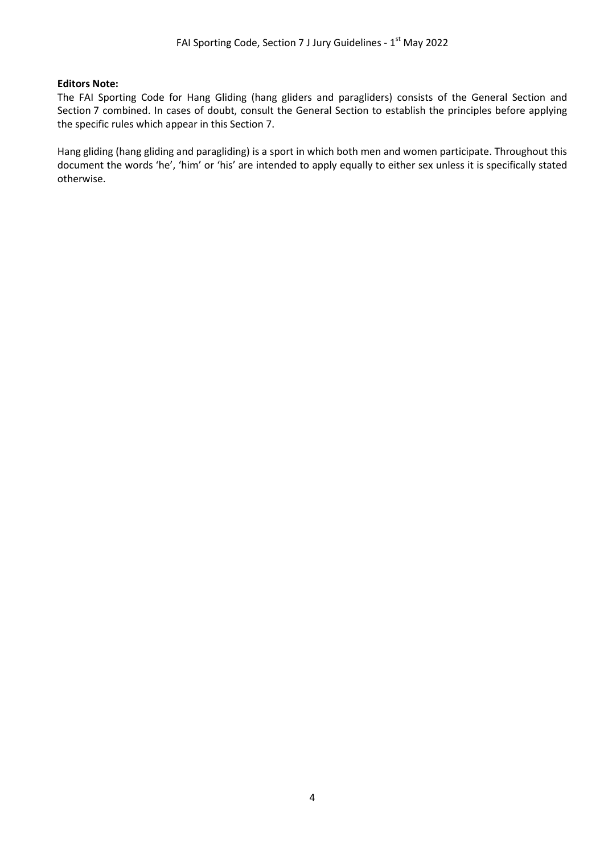#### **Editors Note:**

The FAI Sporting Code for Hang Gliding (hang gliders and paragliders) consists of the General Section and Section 7 combined. In cases of doubt, consult the General Section to establish the principles before applying the specific rules which appear in this Section 7.

Hang gliding (hang gliding and paragliding) is a sport in which both men and women participate. Throughout this document the words 'he', 'him' or 'his' are intended to apply equally to either sex unless it is specifically stated otherwise.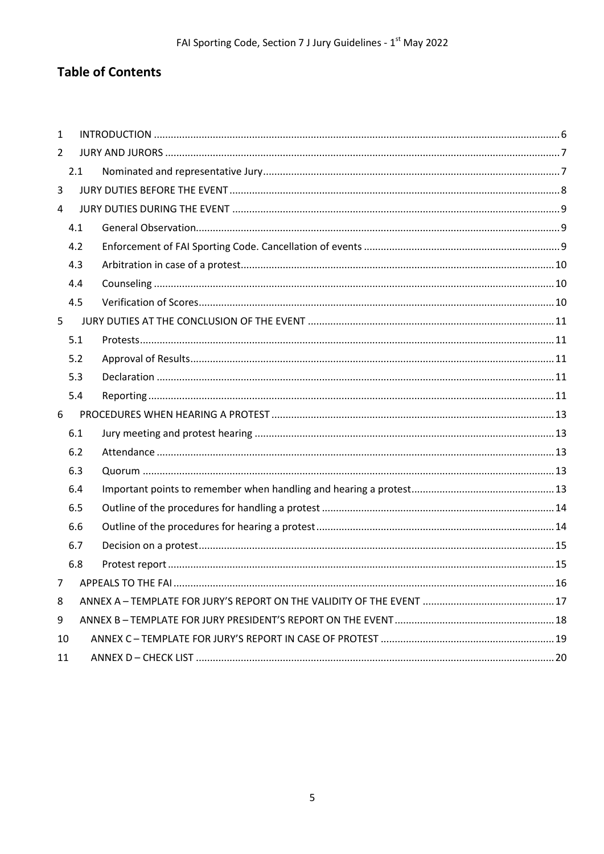# **Table of Contents**

| $\mathbf{1}$   |     |  |  |  |
|----------------|-----|--|--|--|
| $\overline{2}$ |     |  |  |  |
|                | 2.1 |  |  |  |
| 3              |     |  |  |  |
| 4              |     |  |  |  |
|                | 4.1 |  |  |  |
|                | 4.2 |  |  |  |
|                | 4.3 |  |  |  |
|                | 4.4 |  |  |  |
|                | 4.5 |  |  |  |
| 5              |     |  |  |  |
|                | 5.1 |  |  |  |
|                | 5.2 |  |  |  |
|                | 5.3 |  |  |  |
|                | 5.4 |  |  |  |
| 6              |     |  |  |  |
|                | 6.1 |  |  |  |
|                | 6.2 |  |  |  |
|                | 6.3 |  |  |  |
|                | 6.4 |  |  |  |
|                | 6.5 |  |  |  |
|                | 6.6 |  |  |  |
|                | 6.7 |  |  |  |
|                | 6.8 |  |  |  |
| $\overline{7}$ |     |  |  |  |
| 8              |     |  |  |  |
| 9              |     |  |  |  |
|                | 10  |  |  |  |
| 11             |     |  |  |  |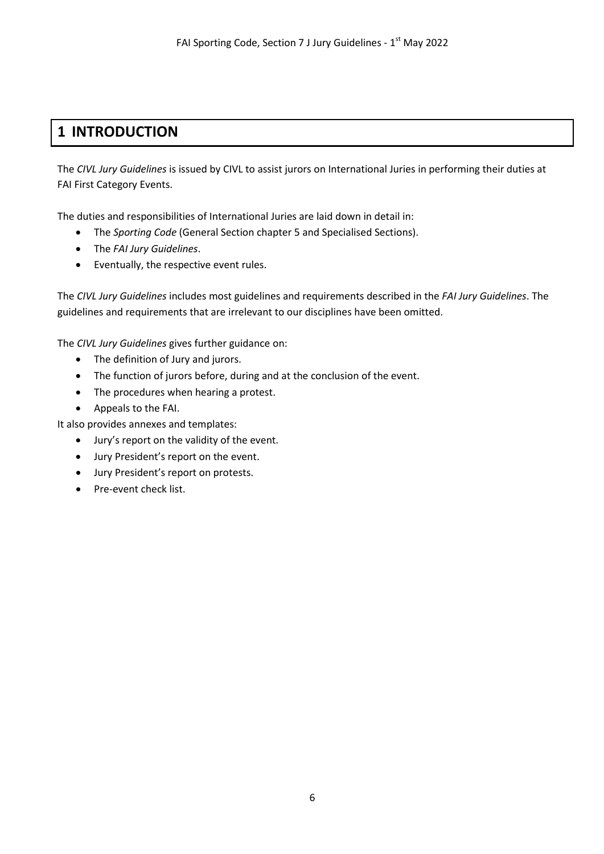# <span id="page-5-0"></span>**1 INTRODUCTION**

The *CIVL Jury Guidelines* is issued by CIVL to assist jurors on International Juries in performing their duties at FAI First Category Events.

The duties and responsibilities of International Juries are laid down in detail in:

- The *Sporting Code* (General Section chapter 5 and Specialised Sections).
- The *FAI Jury Guidelines*.
- Eventually, the respective event rules.

The *CIVL Jury Guidelines* includes most guidelines and requirements described in the *FAI Jury Guidelines*. The guidelines and requirements that are irrelevant to our disciplines have been omitted.

The *CIVL Jury Guidelines* gives further guidance on:

- The definition of Jury and jurors.
- The function of jurors before, during and at the conclusion of the event.
- The procedures when hearing a protest.
- Appeals to the FAI.

It also provides annexes and templates:

- Jury's report on the validity of the event.
- Jury President's report on the event.
- Jury President's report on protests.
- Pre-event check list.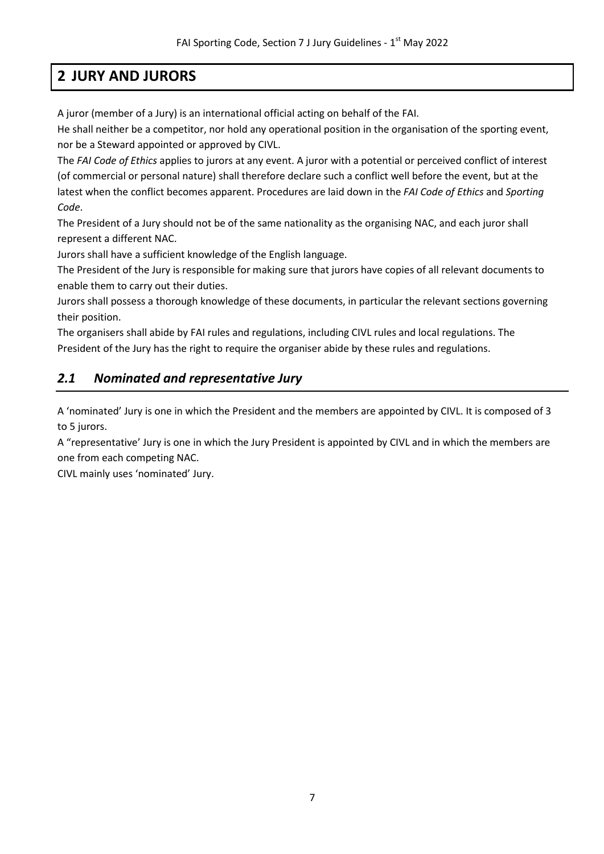# **2 JURY AND JURORS**

<span id="page-6-0"></span>A juror (member of a Jury) is an international official acting on behalf of the FAI.

He shall neither be a competitor, nor hold any operational position in the organisation of the sporting event, nor be a Steward appointed or approved by CIVL.

The *FAI Code of Ethics* applies to jurors at any event. A juror with a potential or perceived conflict of interest (of commercial or personal nature) shall therefore declare such a conflict well before the event, but at the latest when the conflict becomes apparent. Procedures are laid down in the *FAI Code of Ethics* and *Sporting Code*.

The President of a Jury should not be of the same nationality as the organising NAC, and each juror shall represent a different NAC.

Jurors shall have a sufficient knowledge of the English language.

The President of the Jury is responsible for making sure that jurors have copies of all relevant documents to enable them to carry out their duties.

Jurors shall possess a thorough knowledge of these documents, in particular the relevant sections governing their position.

The organisers shall abide by FAI rules and regulations, including CIVL rules and local regulations. The President of the Jury has the right to require the organiser abide by these rules and regulations.

### <span id="page-6-1"></span>*2.1 Nominated and representative Jury*

A 'nominated' Jury is one in which the President and the members are appointed by CIVL. It is composed of 3 to 5 jurors.

A "representative' Jury is one in which the Jury President is appointed by CIVL and in which the members are one from each competing NAC.

CIVL mainly uses 'nominated' Jury.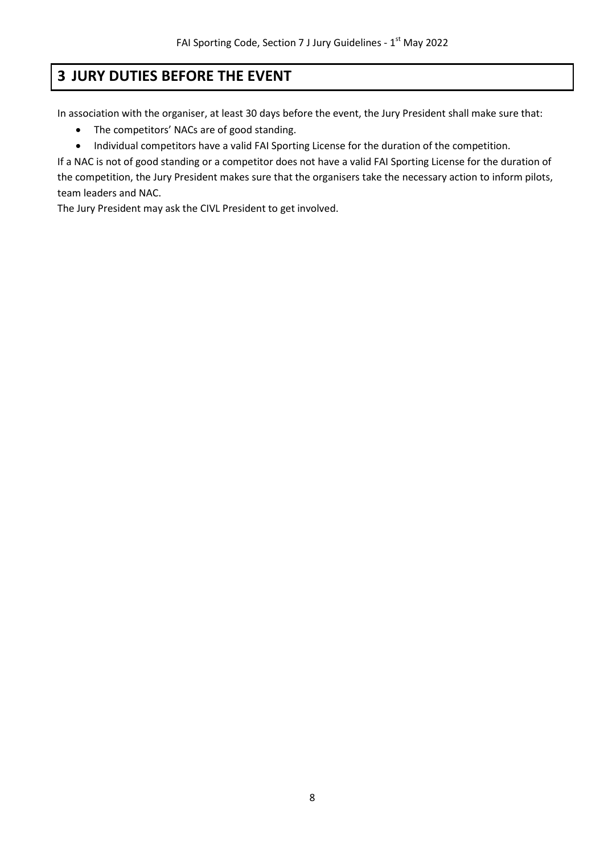# <span id="page-7-0"></span>**3 JURY DUTIES BEFORE THE EVENT**

In association with the organiser, at least 30 days before the event, the Jury President shall make sure that:

- The competitors' NACs are of good standing.
- Individual competitors have a valid FAI Sporting License for the duration of the competition.

If a NAC is not of good standing or a competitor does not have a valid FAI Sporting License for the duration of the competition, the Jury President makes sure that the organisers take the necessary action to inform pilots, team leaders and NAC.

The Jury President may ask the CIVL President to get involved.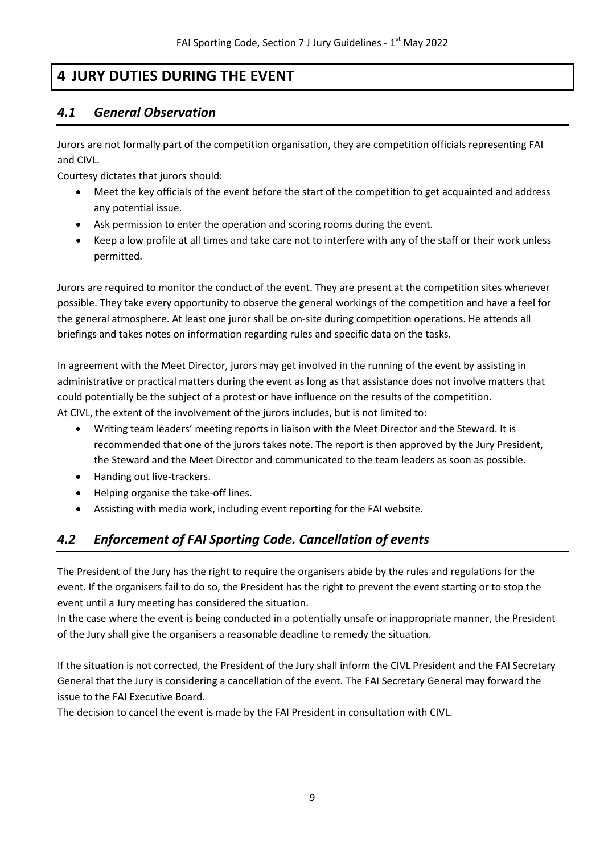# **4 JURY DUTIES DURING THE EVENT**

### <span id="page-8-1"></span><span id="page-8-0"></span>*4.1 General Observation*

Jurors are not formally part of the competition organisation, they are competition officials representing FAI and CIVL.

Courtesy dictates that jurors should:

- Meet the key officials of the event before the start of the competition to get acquainted and address any potential issue.
- Ask permission to enter the operation and scoring rooms during the event.
- Keep a low profile at all times and take care not to interfere with any of the staff or their work unless permitted.

Jurors are required to monitor the conduct of the event. They are present at the competition sites whenever possible. They take every opportunity to observe the general workings of the competition and have a feel for the general atmosphere. At least one juror shall be on-site during competition operations. He attends all briefings and takes notes on information regarding rules and specific data on the tasks.

In agreement with the Meet Director, jurors may get involved in the running of the event by assisting in administrative or practical matters during the event as long as that assistance does not involve matters that could potentially be the subject of a protest or have influence on the results of the competition. At CIVL, the extent of the involvement of the jurors includes, but is not limited to:

- Writing team leaders' meeting reports in liaison with the Meet Director and the Steward. It is recommended that one of the jurors takes note. The report is then approved by the Jury President, the Steward and the Meet Director and communicated to the team leaders as soon as possible.
- Handing out live-trackers.
- Helping organise the take-off lines.
- Assisting with media work, including event reporting for the FAI website.

### <span id="page-8-2"></span>*4.2 Enforcement of FAI Sporting Code. Cancellation of events*

The President of the Jury has the right to require the organisers abide by the rules and regulations for the event. If the organisers fail to do so, the President has the right to prevent the event starting or to stop the event until a Jury meeting has considered the situation.

In the case where the event is being conducted in a potentially unsafe or inappropriate manner, the President of the Jury shall give the organisers a reasonable deadline to remedy the situation.

If the situation is not corrected, the President of the Jury shall inform the CIVL President and the FAI Secretary General that the Jury is considering a cancellation of the event. The FAI Secretary General may forward the issue to the FAI Executive Board.

The decision to cancel the event is made by the FAI President in consultation with CIVL.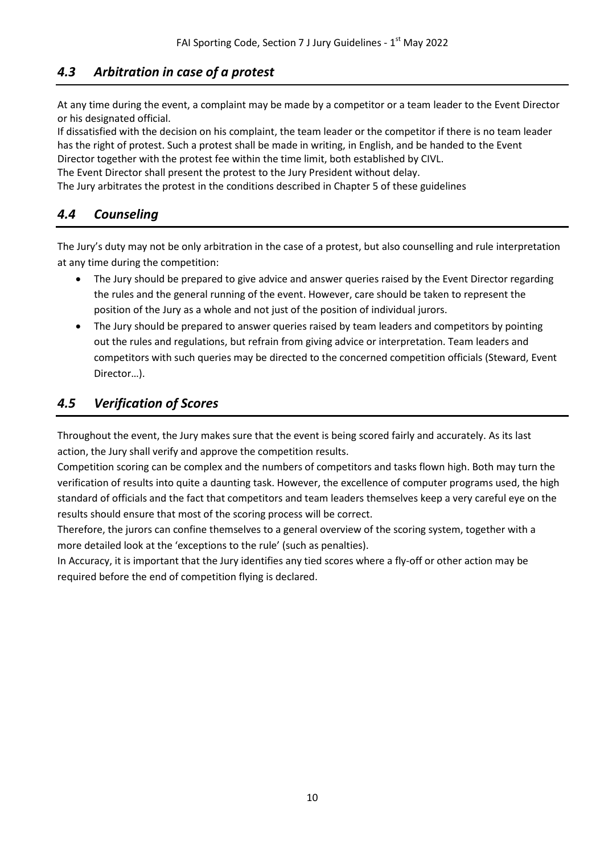### <span id="page-9-0"></span>*4.3 Arbitration in case of a protest*

At any time during the event, a complaint may be made by a competitor or a team leader to the Event Director or his designated official.

If dissatisfied with the decision on his complaint, the team leader or the competitor if there is no team leader has the right of protest. Such a protest shall be made in writing, in English, and be handed to the Event Director together with the protest fee within the time limit, both established by CIVL.

The Event Director shall present the protest to the Jury President without delay.

<span id="page-9-1"></span>The Jury arbitrates the protest in the conditions described in Chapter 5 of these guidelines

### *4.4 Counseling*

The Jury's duty may not be only arbitration in the case of a protest, but also counselling and rule interpretation at any time during the competition:

- The Jury should be prepared to give advice and answer queries raised by the Event Director regarding the rules and the general running of the event. However, care should be taken to represent the position of the Jury as a whole and not just of the position of individual jurors.
- The Jury should be prepared to answer queries raised by team leaders and competitors by pointing out the rules and regulations, but refrain from giving advice or interpretation. Team leaders and competitors with such queries may be directed to the concerned competition officials (Steward, Event Director…).

### <span id="page-9-2"></span>*4.5 Verification of Scores*

Throughout the event, the Jury makes sure that the event is being scored fairly and accurately. As its last action, the Jury shall verify and approve the competition results.

Competition scoring can be complex and the numbers of competitors and tasks flown high. Both may turn the verification of results into quite a daunting task. However, the excellence of computer programs used, the high standard of officials and the fact that competitors and team leaders themselves keep a very careful eye on the results should ensure that most of the scoring process will be correct.

Therefore, the jurors can confine themselves to a general overview of the scoring system, together with a more detailed look at the 'exceptions to the rule' (such as penalties).

In Accuracy, it is important that the Jury identifies any tied scores where a fly-off or other action may be required before the end of competition flying is declared.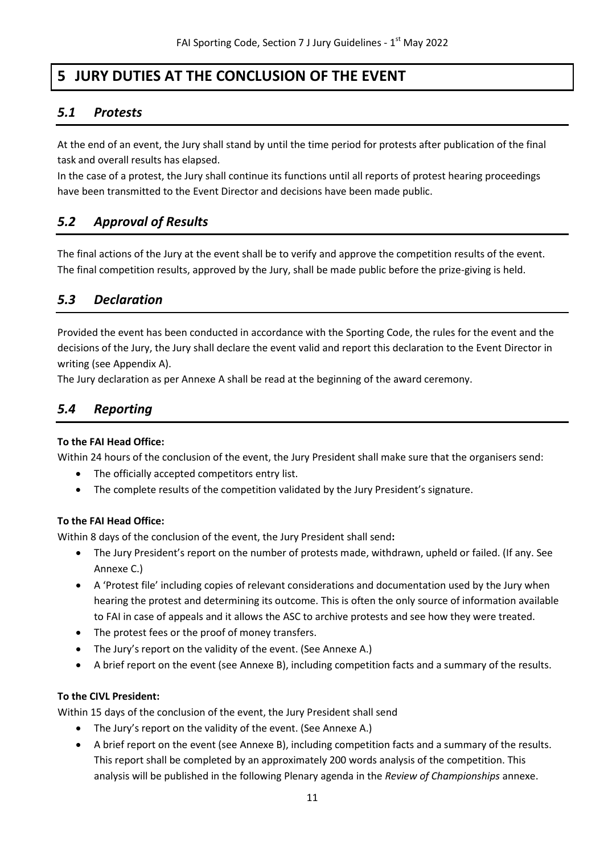# **5 JURY DUTIES AT THE CONCLUSION OF THE EVENT**

### <span id="page-10-1"></span><span id="page-10-0"></span>*5.1 Protests*

At the end of an event, the Jury shall stand by until the time period for protests after publication of the final task and overall results has elapsed.

In the case of a protest, the Jury shall continue its functions until all reports of protest hearing proceedings have been transmitted to the Event Director and decisions have been made public.

### <span id="page-10-2"></span>*5.2 Approval of Results*

The final actions of the Jury at the event shall be to verify and approve the competition results of the event. The final competition results, approved by the Jury, shall be made public before the prize-giving is held.

### <span id="page-10-3"></span>*5.3 Declaration*

Provided the event has been conducted in accordance with the Sporting Code, the rules for the event and the decisions of the Jury, the Jury shall declare the event valid and report this declaration to the Event Director in writing (see Appendix A).

The Jury declaration as per Annexe A shall be read at the beginning of the award ceremony.

### <span id="page-10-4"></span>*5.4 Reporting*

### **To the FAI Head Office:**

Within 24 hours of the conclusion of the event, the Jury President shall make sure that the organisers send:

- The officially accepted competitors entry list.
- The complete results of the competition validated by the Jury President's signature.

### **To the FAI Head Office:**

Within 8 days of the conclusion of the event, the Jury President shall send**:**

- The Jury President's report on the number of protests made, withdrawn, upheld or failed. (If any. See Annexe C.)
- A 'Protest file' including copies of relevant considerations and documentation used by the Jury when hearing the protest and determining its outcome. This is often the only source of information available to FAI in case of appeals and it allows the ASC to archive protests and see how they were treated.
- The protest fees or the proof of money transfers.
- The Jury's report on the validity of the event. (See Annexe A.)
- A brief report on the event (see Annexe B), including competition facts and a summary of the results.

### **To the CIVL President:**

Within 15 days of the conclusion of the event, the Jury President shall send

- The Jury's report on the validity of the event. (See Annexe A.)
- A brief report on the event (see Annexe B), including competition facts and a summary of the results. This report shall be completed by an approximately 200 words analysis of the competition. This analysis will be published in the following Plenary agenda in the *Review of Championships* annexe.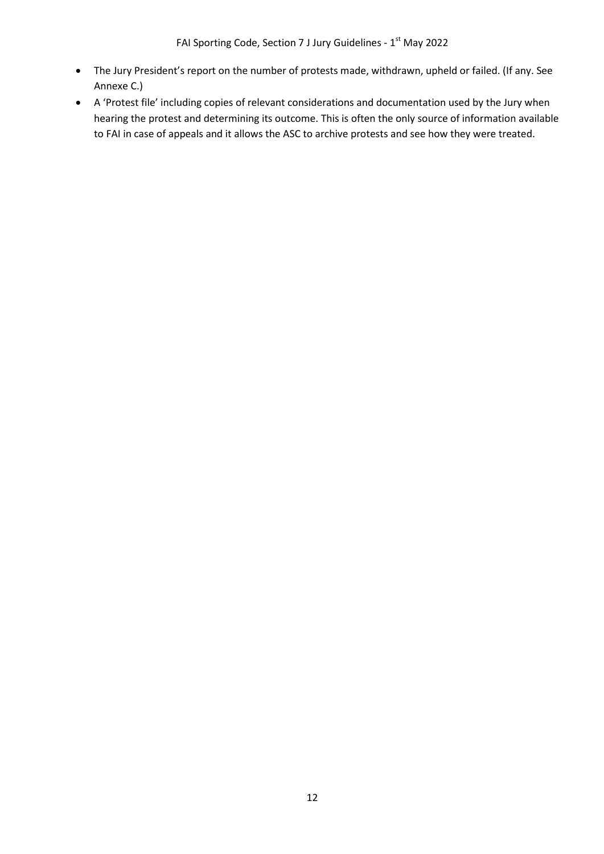- The Jury President's report on the number of protests made, withdrawn, upheld or failed. (If any. See Annexe C.)
- A 'Protest file' including copies of relevant considerations and documentation used by the Jury when hearing the protest and determining its outcome. This is often the only source of information available to FAI in case of appeals and it allows the ASC to archive protests and see how they were treated.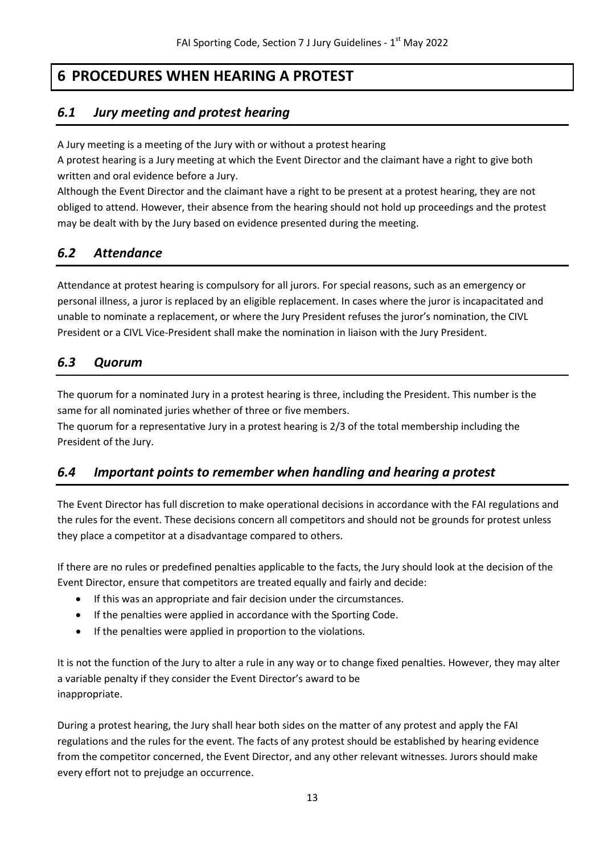# **6 PROCEDURES WHEN HEARING A PROTEST**

### <span id="page-12-1"></span><span id="page-12-0"></span>*6.1 Jury meeting and protest hearing*

A Jury meeting is a meeting of the Jury with or without a protest hearing

A protest hearing is a Jury meeting at which the Event Director and the claimant have a right to give both written and oral evidence before a Jury.

Although the Event Director and the claimant have a right to be present at a protest hearing, they are not obliged to attend. However, their absence from the hearing should not hold up proceedings and the protest may be dealt with by the Jury based on evidence presented during the meeting.

### <span id="page-12-2"></span>*6.2 Attendance*

Attendance at protest hearing is compulsory for all jurors. For special reasons, such as an emergency or personal illness, a juror is replaced by an eligible replacement. In cases where the juror is incapacitated and unable to nominate a replacement, or where the Jury President refuses the juror's nomination, the CIVL President or a CIVL Vice-President shall make the nomination in liaison with the Jury President.

### <span id="page-12-3"></span>*6.3 Quorum*

The quorum for a nominated Jury in a protest hearing is three, including the President. This number is the same for all nominated juries whether of three or five members.

The quorum for a representative Jury in a protest hearing is 2/3 of the total membership including the President of the Jury.

### <span id="page-12-4"></span>*6.4 Important points to remember when handling and hearing a protest*

The Event Director has full discretion to make operational decisions in accordance with the FAI regulations and the rules for the event. These decisions concern all competitors and should not be grounds for protest unless they place a competitor at a disadvantage compared to others.

If there are no rules or predefined penalties applicable to the facts, the Jury should look at the decision of the Event Director, ensure that competitors are treated equally and fairly and decide:

- If this was an appropriate and fair decision under the circumstances.
- If the penalties were applied in accordance with the Sporting Code.
- If the penalties were applied in proportion to the violations.

It is not the function of the Jury to alter a rule in any way or to change fixed penalties. However, they may alter a variable penalty if they consider the Event Director's award to be inappropriate.

During a protest hearing, the Jury shall hear both sides on the matter of any protest and apply the FAI regulations and the rules for the event. The facts of any protest should be established by hearing evidence from the competitor concerned, the Event Director, and any other relevant witnesses. Jurors should make every effort not to prejudge an occurrence.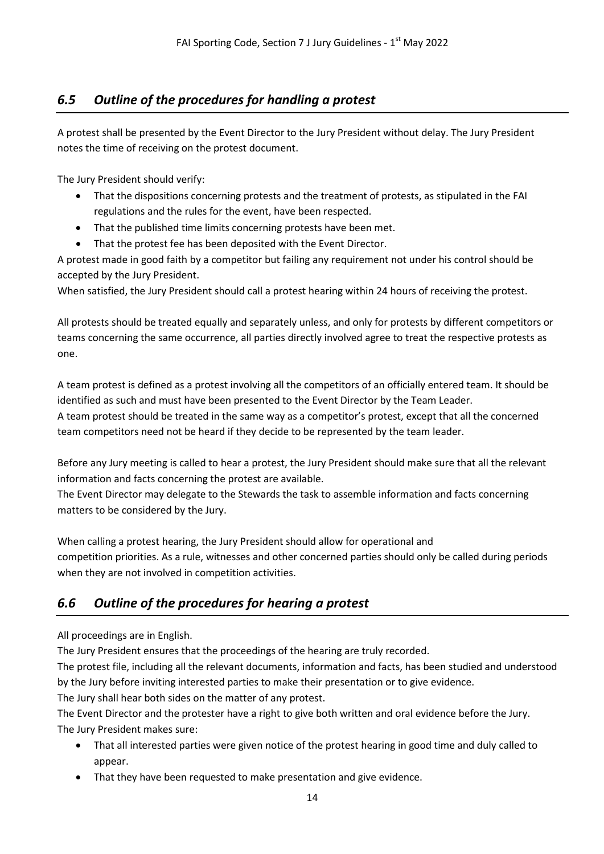### <span id="page-13-0"></span>*6.5 Outline of the procedures for handling a protest*

A protest shall be presented by the Event Director to the Jury President without delay. The Jury President notes the time of receiving on the protest document.

The Jury President should verify:

- That the dispositions concerning protests and the treatment of protests, as stipulated in the FAI regulations and the rules for the event, have been respected.
- That the published time limits concerning protests have been met.
- That the protest fee has been deposited with the Event Director.

A protest made in good faith by a competitor but failing any requirement not under his control should be accepted by the Jury President.

When satisfied, the Jury President should call a protest hearing within 24 hours of receiving the protest.

All protests should be treated equally and separately unless, and only for protests by different competitors or teams concerning the same occurrence, all parties directly involved agree to treat the respective protests as one.

A team protest is defined as a protest involving all the competitors of an officially entered team. It should be identified as such and must have been presented to the Event Director by the Team Leader.

A team protest should be treated in the same way as a competitor's protest, except that all the concerned team competitors need not be heard if they decide to be represented by the team leader.

Before any Jury meeting is called to hear a protest, the Jury President should make sure that all the relevant information and facts concerning the protest are available.

The Event Director may delegate to the Stewards the task to assemble information and facts concerning matters to be considered by the Jury.

When calling a protest hearing, the Jury President should allow for operational and competition priorities. As a rule, witnesses and other concerned parties should only be called during periods when they are not involved in competition activities.

### <span id="page-13-1"></span>*6.6 Outline of the procedures for hearing a protest*

All proceedings are in English.

The Jury President ensures that the proceedings of the hearing are truly recorded.

The protest file, including all the relevant documents, information and facts, has been studied and understood by the Jury before inviting interested parties to make their presentation or to give evidence.

The Jury shall hear both sides on the matter of any protest.

The Event Director and the protester have a right to give both written and oral evidence before the Jury. The Jury President makes sure:

- That all interested parties were given notice of the protest hearing in good time and duly called to appear.
- That they have been requested to make presentation and give evidence.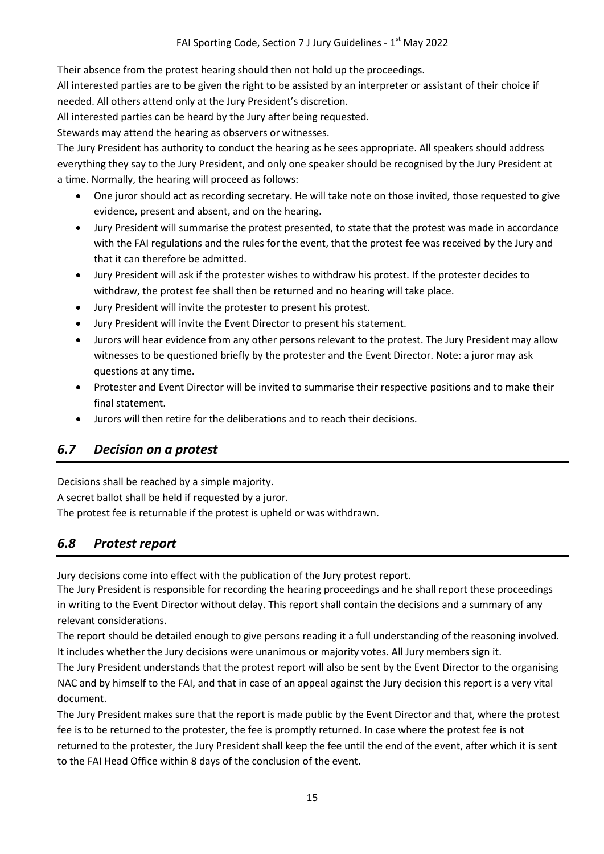Their absence from the protest hearing should then not hold up the proceedings.

All interested parties are to be given the right to be assisted by an interpreter or assistant of their choice if needed. All others attend only at the Jury President's discretion.

All interested parties can be heard by the Jury after being requested.

Stewards may attend the hearing as observers or witnesses.

The Jury President has authority to conduct the hearing as he sees appropriate. All speakers should address everything they say to the Jury President, and only one speaker should be recognised by the Jury President at a time. Normally, the hearing will proceed as follows:

- One juror should act as recording secretary. He will take note on those invited, those requested to give evidence, present and absent, and on the hearing.
- Jury President will summarise the protest presented, to state that the protest was made in accordance with the FAI regulations and the rules for the event, that the protest fee was received by the Jury and that it can therefore be admitted.
- Jury President will ask if the protester wishes to withdraw his protest. If the protester decides to withdraw, the protest fee shall then be returned and no hearing will take place.
- Jury President will invite the protester to present his protest.
- Jury President will invite the Event Director to present his statement.
- Jurors will hear evidence from any other persons relevant to the protest. The Jury President may allow witnesses to be questioned briefly by the protester and the Event Director. Note: a juror may ask questions at any time.
- Protester and Event Director will be invited to summarise their respective positions and to make their final statement.
- Jurors will then retire for the deliberations and to reach their decisions.

### <span id="page-14-0"></span>*6.7 Decision on a protest*

Decisions shall be reached by a simple majority.

A secret ballot shall be held if requested by a juror.

The protest fee is returnable if the protest is upheld or was withdrawn.

### <span id="page-14-1"></span>*6.8 Protest report*

Jury decisions come into effect with the publication of the Jury protest report.

The Jury President is responsible for recording the hearing proceedings and he shall report these proceedings in writing to the Event Director without delay. This report shall contain the decisions and a summary of any relevant considerations.

The report should be detailed enough to give persons reading it a full understanding of the reasoning involved. It includes whether the Jury decisions were unanimous or majority votes. All Jury members sign it.

The Jury President understands that the protest report will also be sent by the Event Director to the organising NAC and by himself to the FAI, and that in case of an appeal against the Jury decision this report is a very vital document.

The Jury President makes sure that the report is made public by the Event Director and that, where the protest fee is to be returned to the protester, the fee is promptly returned. In case where the protest fee is not returned to the protester, the Jury President shall keep the fee until the end of the event, after which it is sent to the FAI Head Office within 8 days of the conclusion of the event.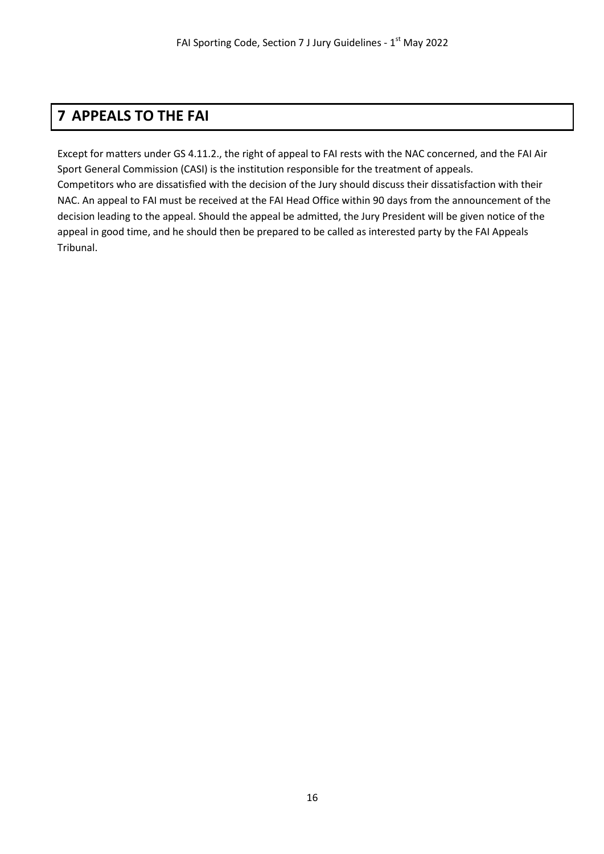# <span id="page-15-0"></span>**7 APPEALS TO THE FAI**

Except for matters under GS 4.11.2., the right of appeal to FAI rests with the NAC concerned, and the FAI Air Sport General Commission (CASI) is the institution responsible for the treatment of appeals. Competitors who are dissatisfied with the decision of the Jury should discuss their dissatisfaction with their NAC. An appeal to FAI must be received at the FAI Head Office within 90 days from the announcement of the decision leading to the appeal. Should the appeal be admitted, the Jury President will be given notice of the appeal in good time, and he should then be prepared to be called as interested party by the FAI Appeals Tribunal.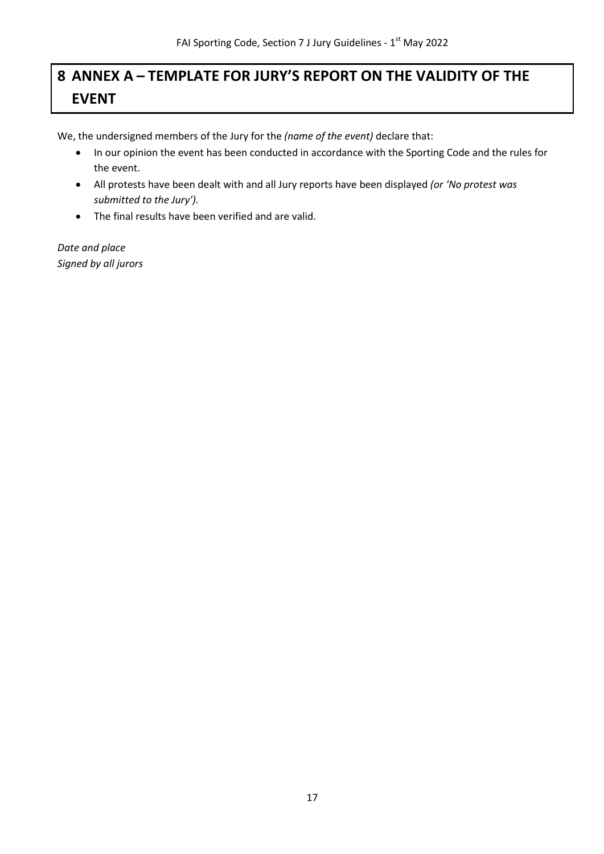# <span id="page-16-0"></span>**8 ANNEX A – TEMPLATE FOR JURY'S REPORT ON THE VALIDITY OF THE EVENT**

We, the undersigned members of the Jury for the *(name of the event)* declare that:

- In our opinion the event has been conducted in accordance with the Sporting Code and the rules for the event.
- All protests have been dealt with and all Jury reports have been displayed *(or 'No protest was submitted to the Jury').*
- The final results have been verified and are valid.

*Date and place Signed by all jurors*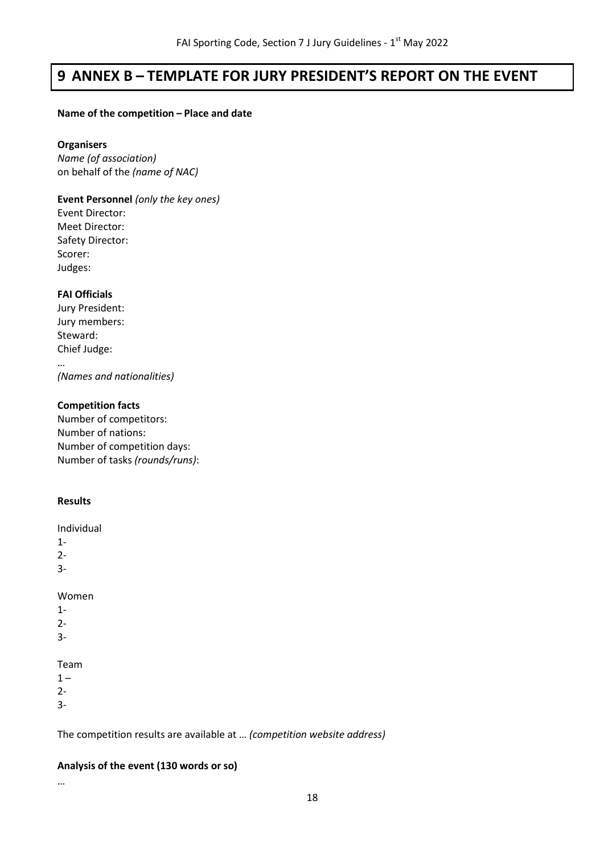# <span id="page-17-0"></span>**9 ANNEX B – TEMPLATE FOR JURY PRESIDENT'S REPORT ON THE EVENT**

#### **Name of the competition – Place and date**

#### **Organisers**

*Name (of association)* on behalf of the *(name of NAC)*

**Event Personnel** *(only the key ones)* Event Director: Meet Director: Safety Director: Scorer: Judges:

### **FAI Officials**

Jury President: Jury members: Steward: Chief Judge: …

*(Names and nationalities)*

### **Competition facts**

Number of competitors: Number of nations: Number of competition days: Number of tasks *(rounds/runs)*:

### **Results**

Individual

1-

2-

3-

Women

- 1-
- 2-
- 3-

### Team

 $1 -$ 

2-

3-

### The competition results are available at … *(competition website address)*

### **Analysis of the event (130 words or so)**

…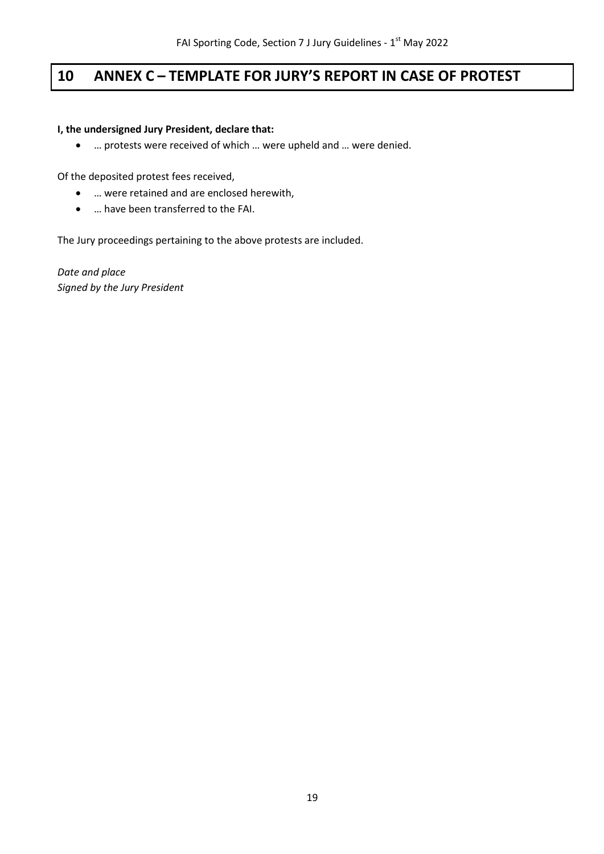# <span id="page-18-0"></span>**10 ANNEX C – TEMPLATE FOR JURY'S REPORT IN CASE OF PROTEST**

### **I, the undersigned Jury President, declare that:**

• … protests were received of which … were upheld and … were denied.

Of the deposited protest fees received,

- … were retained and are enclosed herewith,
- … have been transferred to the FAI.

The Jury proceedings pertaining to the above protests are included.

*Date and place Signed by the Jury President*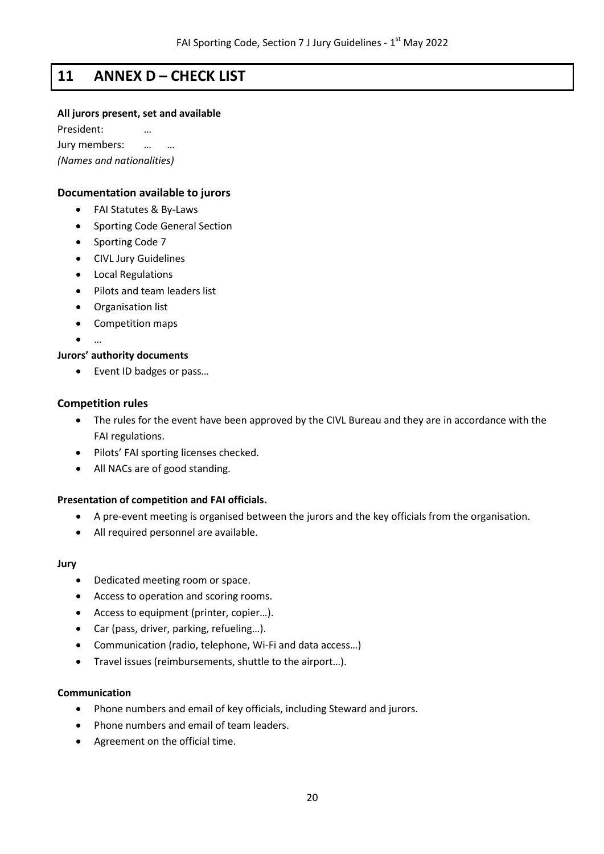### <span id="page-19-0"></span>**11 ANNEX D – CHECK LIST**

#### **All jurors present, set and available**

President: … Jury members: … … *(Names and nationalities)*

### **Documentation available to jurors**

- FAI Statutes & By-Laws
- Sporting Code General Section
- Sporting Code 7
- CIVL Jury Guidelines
- Local Regulations
- Pilots and team leaders list
- Organisation list
- Competition maps
- $\mathbb{R}^n$

#### **Jurors' authority documents**

• Event ID badges or pass…

#### **Competition rules**

- The rules for the event have been approved by the CIVL Bureau and they are in accordance with the FAI regulations.
- Pilots' FAI sporting licenses checked.
- All NACs are of good standing.

### **Presentation of competition and FAI officials.**

- A pre-event meeting is organised between the jurors and the key officials from the organisation.
- All required personnel are available.

#### **Jury**

- Dedicated meeting room or space.
- Access to operation and scoring rooms.
- Access to equipment (printer, copier…).
- Car (pass, driver, parking, refueling…).
- Communication (radio, telephone, Wi-Fi and data access…)
- Travel issues (reimbursements, shuttle to the airport…).

#### **Communication**

- Phone numbers and email of key officials, including Steward and jurors.
- Phone numbers and email of team leaders.
- Agreement on the official time.